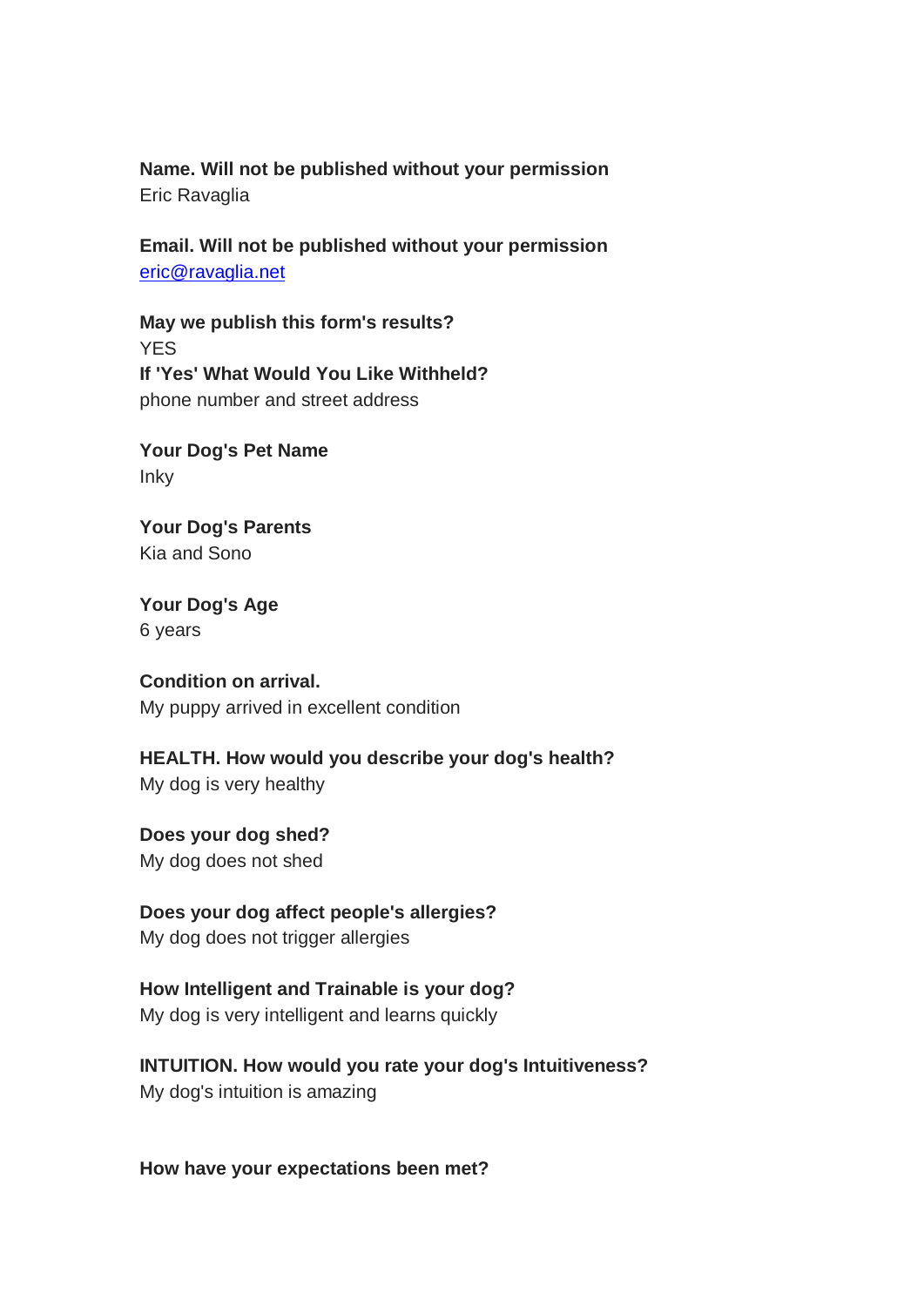**Name. Will not be published without your permission** Eric Ravaglia

**Email. Will not be published without your permission** [eric@ravaglia.net](mailto:eric@ravaglia.net)

**May we publish this form's results? YFS If 'Yes' What Would You Like Withheld?**  phone number and street address

**Your Dog's Pet Name**  Inky

**Your Dog's Parents**  Kia and Sono

**Your Dog's Age** 6 years

**Condition on arrival.**  My puppy arrived in excellent condition

**HEALTH. How would you describe your dog's health?** My dog is very healthy

**Does your dog shed?** My dog does not shed

**Does your dog affect people's allergies?** 

My dog does not trigger allergies

**How Intelligent and Trainable is your dog?**

My dog is very intelligent and learns quickly

**INTUITION. How would you rate your dog's Intuitiveness?** My dog's intuition is amazing

**How have your expectations been met?**